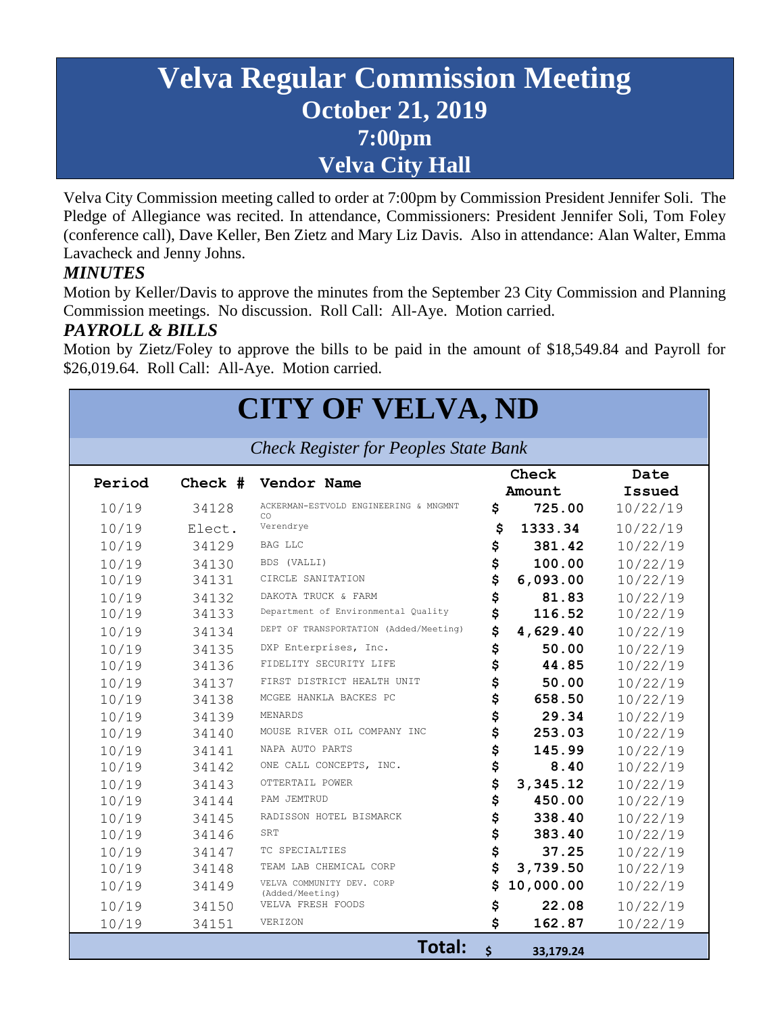## **Velva Regular Commission Meeting October 21, 2019 7:00pm Velva City Hall**

Velva City Commission meeting called to order at 7:00pm by Commission President Jennifer Soli. The Pledge of Allegiance was recited. In attendance, Commissioners: President Jennifer Soli, Tom Foley (conference call), Dave Keller, Ben Zietz and Mary Liz Davis. Also in attendance: Alan Walter, Emma Lavacheck and Jenny Johns.

#### *MINUTES*

Motion by Keller/Davis to approve the minutes from the September 23 City Commission and Planning Commission meetings. No discussion. Roll Call: All-Aye. Motion carried.

#### *PAYROLL & BILLS*

Motion by Zietz/Foley to approve the bills to be paid in the amount of \$18,549.84 and Payroll for \$26,019.64. Roll Call: All-Aye. Motion carried.

# **CITY OF VELVA, ND**

*Check Register for Peoples State Bank*

| Period |        | Check # Vendor Name                          | Check |           | Date     |
|--------|--------|----------------------------------------------|-------|-----------|----------|
|        |        |                                              |       | Amount    | Issued   |
| 10/19  | 34128  | ACKERMAN-ESTVOLD ENGINEERING & MNGMNT<br>CO. | \$    | 725.00    | 10/22/19 |
| 10/19  | Elect. | Verendrye                                    | \$    | 1333.34   | 10/22/19 |
| 10/19  | 34129  | BAG LLC                                      | \$    | 381.42    | 10/22/19 |
| 10/19  | 34130  | BDS (VALLI)                                  | \$    | 100.00    | 10/22/19 |
| 10/19  | 34131  | CIRCLE SANITATION                            | \$    | 6,093.00  | 10/22/19 |
| 10/19  | 34132  | DAKOTA TRUCK & FARM                          | \$    | 81.83     | 10/22/19 |
| 10/19  | 34133  | Department of Environmental Quality          | \$    | 116.52    | 10/22/19 |
| 10/19  | 34134  | DEPT OF TRANSPORTATION (Added/Meeting)       | \$    | 4,629.40  | 10/22/19 |
| 10/19  | 34135  | DXP Enterprises, Inc.                        | \$    | 50.00     | 10/22/19 |
| 10/19  | 34136  | FIDELITY SECURITY LIFE                       | \$    | 44.85     | 10/22/19 |
| 10/19  | 34137  | FIRST DISTRICT HEALTH UNIT                   | \$    | 50.00     | 10/22/19 |
| 10/19  | 34138  | MCGEE HANKLA BACKES PC                       | \$    | 658.50    | 10/22/19 |
| 10/19  | 34139  | MENARDS                                      | \$    | 29.34     | 10/22/19 |
| 10/19  | 34140  | MOUSE RIVER OIL COMPANY INC                  | \$    | 253.03    | 10/22/19 |
| 10/19  | 34141  | NAPA AUTO PARTS                              | \$    | 145.99    | 10/22/19 |
| 10/19  | 34142  | ONE CALL CONCEPTS, INC.                      | \$    | 8.40      | 10/22/19 |
| 10/19  | 34143  | OTTERTAIL POWER                              | \$    | 3,345.12  | 10/22/19 |
| 10/19  | 34144  | PAM JEMTRUD                                  | \$    | 450.00    | 10/22/19 |
| 10/19  | 34145  | RADISSON HOTEL BISMARCK                      | \$    | 338.40    | 10/22/19 |
| 10/19  | 34146  | SRT                                          | \$    | 383.40    | 10/22/19 |
| 10/19  | 34147  | TC SPECIALTIES                               | \$    | 37.25     | 10/22/19 |
| 10/19  | 34148  | TEAM LAB CHEMICAL CORP                       | \$    | 3,739.50  | 10/22/19 |
| 10/19  | 34149  | VELVA COMMUNITY DEV. CORP<br>(Added/Meeting) | \$    | 10,000.00 | 10/22/19 |
| 10/19  | 34150  | VELVA FRESH FOODS                            | \$    | 22.08     | 10/22/19 |
| 10/19  | 34151  | VERIZON                                      | \$    | 162.87    | 10/22/19 |
|        |        | Total:                                       | \$    | 33,179.24 |          |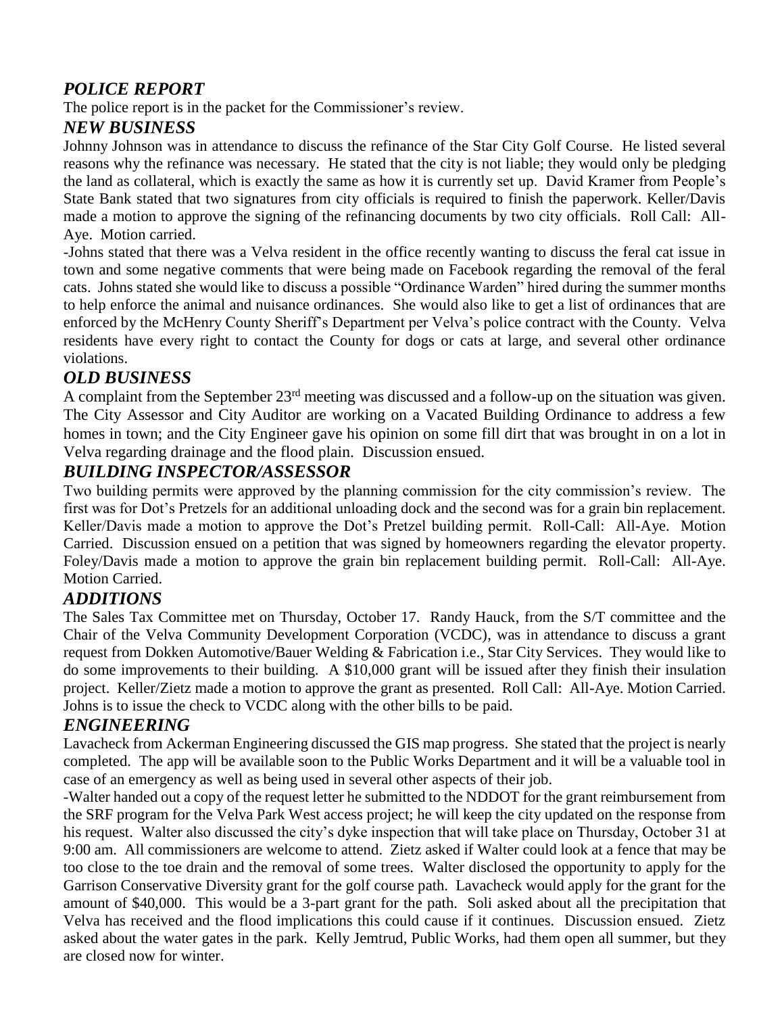#### *POLICE REPORT*

The police report is in the packet for the Commissioner's review.

#### *NEW BUSINESS*

Johnny Johnson was in attendance to discuss the refinance of the Star City Golf Course. He listed several reasons why the refinance was necessary. He stated that the city is not liable; they would only be pledging the land as collateral, which is exactly the same as how it is currently set up. David Kramer from People's State Bank stated that two signatures from city officials is required to finish the paperwork. Keller/Davis made a motion to approve the signing of the refinancing documents by two city officials. Roll Call: All-Aye. Motion carried.

-Johns stated that there was a Velva resident in the office recently wanting to discuss the feral cat issue in town and some negative comments that were being made on Facebook regarding the removal of the feral cats. Johns stated she would like to discuss a possible "Ordinance Warden" hired during the summer months to help enforce the animal and nuisance ordinances. She would also like to get a list of ordinances that are enforced by the McHenry County Sheriff's Department per Velva's police contract with the County. Velva residents have every right to contact the County for dogs or cats at large, and several other ordinance violations.

#### *OLD BUSINESS*

A complaint from the September 23rd meeting was discussed and a follow-up on the situation was given. The City Assessor and City Auditor are working on a Vacated Building Ordinance to address a few homes in town; and the City Engineer gave his opinion on some fill dirt that was brought in on a lot in Velva regarding drainage and the flood plain. Discussion ensued.

#### *BUILDING INSPECTOR/ASSESSOR*

Two building permits were approved by the planning commission for the city commission's review. The first was for Dot's Pretzels for an additional unloading dock and the second was for a grain bin replacement. Keller/Davis made a motion to approve the Dot's Pretzel building permit. Roll-Call: All-Aye. Motion Carried. Discussion ensued on a petition that was signed by homeowners regarding the elevator property. Foley/Davis made a motion to approve the grain bin replacement building permit. Roll-Call: All-Aye. Motion Carried.

#### *ADDITIONS*

The Sales Tax Committee met on Thursday, October 17. Randy Hauck, from the S/T committee and the Chair of the Velva Community Development Corporation (VCDC), was in attendance to discuss a grant request from Dokken Automotive/Bauer Welding & Fabrication i.e., Star City Services. They would like to do some improvements to their building. A \$10,000 grant will be issued after they finish their insulation project. Keller/Zietz made a motion to approve the grant as presented. Roll Call: All-Aye. Motion Carried. Johns is to issue the check to VCDC along with the other bills to be paid.

#### *ENGINEERING*

Lavacheck from Ackerman Engineering discussed the GIS map progress. She stated that the project is nearly completed. The app will be available soon to the Public Works Department and it will be a valuable tool in case of an emergency as well as being used in several other aspects of their job.

-Walter handed out a copy of the request letter he submitted to the NDDOT for the grant reimbursement from the SRF program for the Velva Park West access project; he will keep the city updated on the response from his request. Walter also discussed the city's dyke inspection that will take place on Thursday, October 31 at 9:00 am. All commissioners are welcome to attend. Zietz asked if Walter could look at a fence that may be too close to the toe drain and the removal of some trees. Walter disclosed the opportunity to apply for the Garrison Conservative Diversity grant for the golf course path. Lavacheck would apply for the grant for the amount of \$40,000. This would be a 3-part grant for the path. Soli asked about all the precipitation that Velva has received and the flood implications this could cause if it continues. Discussion ensued. Zietz asked about the water gates in the park. Kelly Jemtrud, Public Works, had them open all summer, but they are closed now for winter.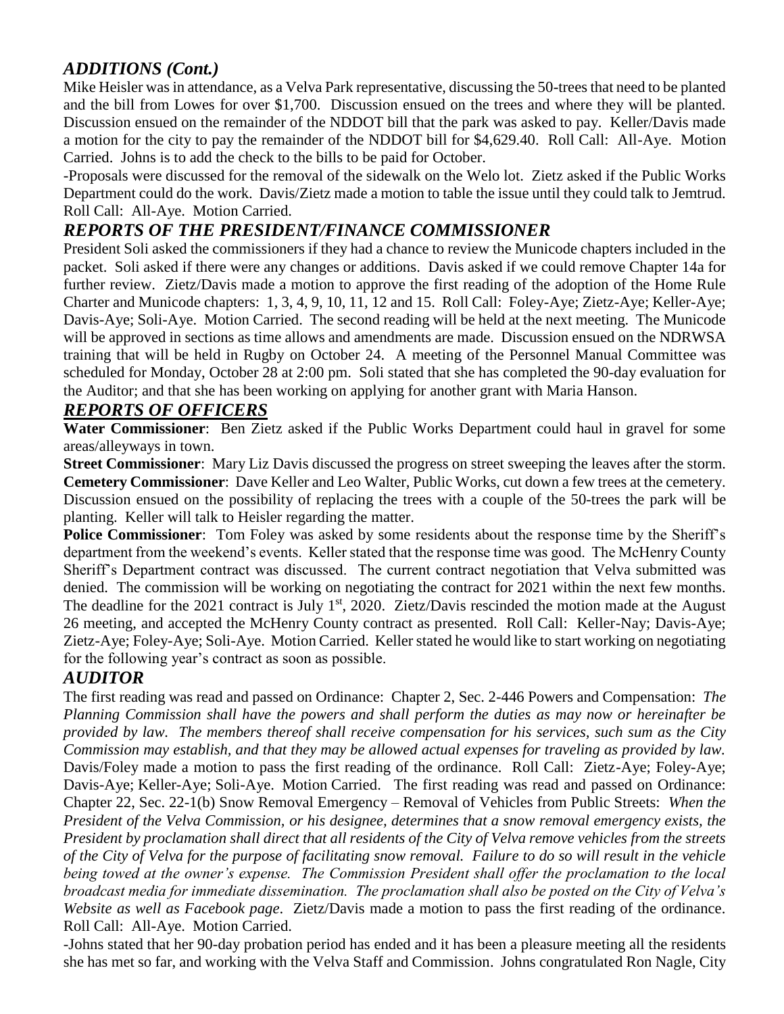#### *ADDITIONS (Cont.)*

Mike Heisler was in attendance, as a Velva Park representative, discussing the 50-trees that need to be planted and the bill from Lowes for over \$1,700. Discussion ensued on the trees and where they will be planted. Discussion ensued on the remainder of the NDDOT bill that the park was asked to pay. Keller/Davis made a motion for the city to pay the remainder of the NDDOT bill for \$4,629.40. Roll Call: All-Aye. Motion Carried. Johns is to add the check to the bills to be paid for October.

-Proposals were discussed for the removal of the sidewalk on the Welo lot. Zietz asked if the Public Works Department could do the work. Davis/Zietz made a motion to table the issue until they could talk to Jemtrud. Roll Call: All-Aye. Motion Carried.

#### *REPORTS OF THE PRESIDENT/FINANCE COMMISSIONER*

President Soli asked the commissioners if they had a chance to review the Municode chapters included in the packet. Soli asked if there were any changes or additions. Davis asked if we could remove Chapter 14a for further review. Zietz/Davis made a motion to approve the first reading of the adoption of the Home Rule Charter and Municode chapters: 1, 3, 4, 9, 10, 11, 12 and 15. Roll Call: Foley-Aye; Zietz-Aye; Keller-Aye; Davis-Aye; Soli-Aye. Motion Carried. The second reading will be held at the next meeting. The Municode will be approved in sections as time allows and amendments are made. Discussion ensued on the NDRWSA training that will be held in Rugby on October 24. A meeting of the Personnel Manual Committee was scheduled for Monday, October 28 at 2:00 pm. Soli stated that she has completed the 90-day evaluation for the Auditor; and that she has been working on applying for another grant with Maria Hanson.

#### *REPORTS OF OFFICERS*

**Water Commissioner**: Ben Zietz asked if the Public Works Department could haul in gravel for some areas/alleyways in town.

**Street Commissioner**: Mary Liz Davis discussed the progress on street sweeping the leaves after the storm. **Cemetery Commissioner**: Dave Keller and Leo Walter, Public Works, cut down a few trees at the cemetery. Discussion ensued on the possibility of replacing the trees with a couple of the 50-trees the park will be planting. Keller will talk to Heisler regarding the matter.

**Police Commissioner**: Tom Foley was asked by some residents about the response time by the Sheriff's department from the weekend's events. Keller stated that the response time was good. The McHenry County Sheriff's Department contract was discussed. The current contract negotiation that Velva submitted was denied. The commission will be working on negotiating the contract for 2021 within the next few months. The deadline for the 2021 contract is July  $1<sup>st</sup>$ , 2020. Zietz/Davis rescinded the motion made at the August 26 meeting, and accepted the McHenry County contract as presented. Roll Call: Keller-Nay; Davis-Aye; Zietz-Aye; Foley-Aye; Soli-Aye. Motion Carried. Keller stated he would like to start working on negotiating for the following year's contract as soon as possible.

#### *AUDITOR*

The first reading was read and passed on Ordinance: Chapter 2, Sec. 2-446 Powers and Compensation: *The Planning Commission shall have the powers and shall perform the duties as may now or hereinafter be provided by law. The members thereof shall receive compensation for his services, such sum as the City Commission may establish, and that they may be allowed actual expenses for traveling as provided by law.* Davis/Foley made a motion to pass the first reading of the ordinance. Roll Call: Zietz-Aye; Foley-Aye; Davis-Aye; Keller-Aye; Soli-Aye. Motion Carried. The first reading was read and passed on Ordinance: Chapter 22, Sec. 22-1(b) Snow Removal Emergency – Removal of Vehicles from Public Streets: *When the President of the Velva Commission, or his designee, determines that a snow removal emergency exists, the President by proclamation shall direct that all residents of the City of Velva remove vehicles from the streets of the City of Velva for the purpose of facilitating snow removal. Failure to do so will result in the vehicle being towed at the owner's expense. The Commission President shall offer the proclamation to the local broadcast media for immediate dissemination. The proclamation shall also be posted on the City of Velva's Website as well as Facebook page*. Zietz/Davis made a motion to pass the first reading of the ordinance. Roll Call: All-Aye. Motion Carried.

-Johns stated that her 90-day probation period has ended and it has been a pleasure meeting all the residents she has met so far, and working with the Velva Staff and Commission. Johns congratulated Ron Nagle, City